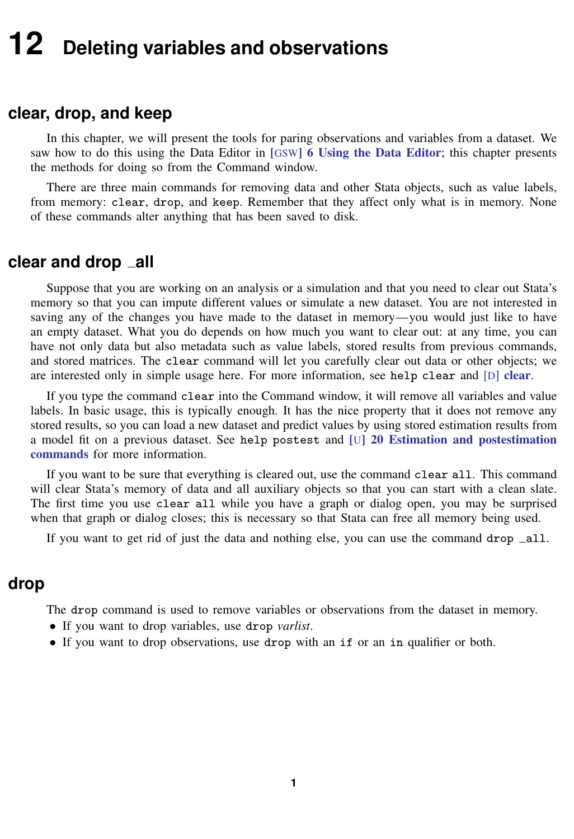# <span id="page-0-0"></span>**12 Deleting variables and observations**

## **clear, drop, and keep**

In this chapter, we will present the tools for paring observations and variables from a dataset. We saw how to do this using the Data Editor in [GSW[\] 6 Using the Data Editor](https://www.stata.com/manuals/gsw6.pdf#gsw6UsingtheDataEditor); this chapter presents the methods for doing so from the Command window.

There are three main commands for removing data and other Stata objects, such as value labels, from memory: clear, drop, and keep. Remember that they affect only what is in memory. None of these commands alter anything that has been saved to disk.

## **clear and drop all**

Suppose that you are working on an analysis or a simulation and that you need to clear out Stata's memory so that you can impute different values or simulate a new dataset. You are not interested in saving any of the changes you have made to the dataset in memory—you would just like to have an empty dataset. What you do depends on how much you want to clear out: at any time, you can have not only data but also metadata such as value labels, stored results from previous commands, and stored matrices. The clear command will let you carefully clear out data or other objects; we are interested only in simple usage here. For more information, see help [clear](https://www.stata.com/manuals/dclear.pdf#dclear) and [D] clear.

If you type the command clear into the Command window, it will remove all variables and value labels. In basic usage, this is typically enough. It has the nice property that it does not remove any stored results, so you can load a new dataset and predict values by using stored estimation results from a model fit on a previous dataset. See help postest and [U[\] 20 Estimation and postestimation](https://www.stata.com/manuals/u20.pdf#u20Estimationandpostestimationcommands) [commands](https://www.stata.com/manuals/u20.pdf#u20Estimationandpostestimationcommands) for more information.

If you want to be sure that everything is cleared out, use the command clear all. This command will clear Stata's memory of data and all auxiliary objects so that you can start with a clean slate. The first time you use clear all while you have a graph or dialog open, you may be surprised when that graph or dialog closes; this is necessary so that Stata can free all memory being used.

If you want to get rid of just the data and nothing else, you can use the command drop  $\text{all}$ .

## **drop**

The drop command is used to remove variables or observations from the dataset in memory.

- If you want to drop variables, use drop *varlist*.
- If you want to drop observations, use drop with an if or an in qualifier or both.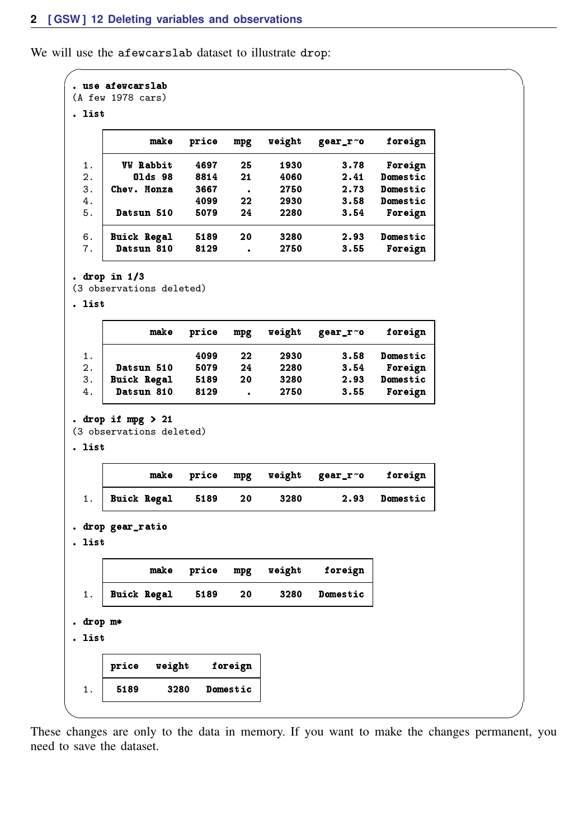We will use the afewcarslab dataset to illustrate drop:

```
\overline{\phantom{0}}. use afewcarslab
(A few 1978 cars)
. list
           make price mpg weight gear_r~o foreign
  1. VW Rabbit 4697 25 1930 3.78 Foreign
  2. Olds 98 8814 21 4060 2.41 Domestic
  3. Chev. Monza 3667 . 2750 2.73<br>4. 4099 22 2930 3.58
  4. 4099 22 2930 3.58 Domestic<br>5. Datsun. 510 5079 24 2280 3.54 Foreign
      Datsun 510
  6. Buick Regal 5189 20 3280 2.93 Domestic
      Datsun 810
. drop in 1/3
(3 observations deleted)
. list
           make price mpg weight gear_r~o foreign
  1. 4099 22 2930 3.58 Domestic
  2. Datsun 510 5079 24 2280 3.54 Foreign
  3. Buick Regal 5189 20 3280 2.93 Domestic
      Datsun 810 8129 .
. drop if mpg > 21
(3 observations deleted)
. list
           make price mpg weight gear_r~o foreign
  1. Buick Regal 5189 20 3280 2.93 Domestic
. drop gear_ratio
. list
           make price mpg weight foreign
  1. Buick Regal 5189 20 3280 Domestic
. drop m*
. list
      price weight foreign
  1. 5189 3280 Domestic
✖ ✕
```
These changes are only to the data in memory. If you want to make the changes permanent, you need to save the dataset.